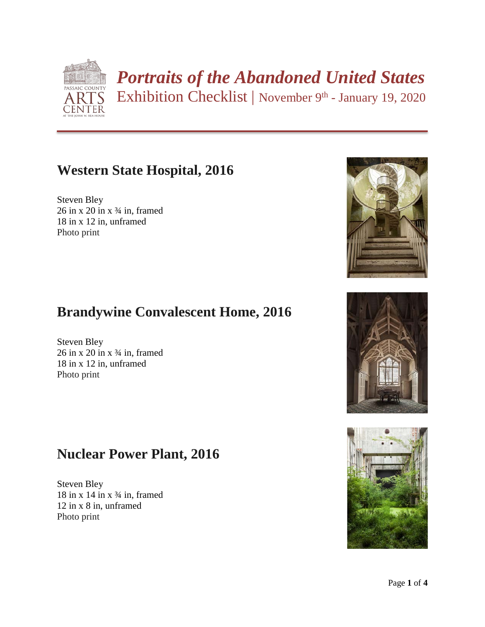

# *Portraits of the Abandoned United States*

Exhibition Checklist | November 9th - January 19, 2020

# **Western State Hospital, 2016**

Steven Bley  $26$  in x  $20$  in x  $\frac{3}{4}$  in, framed 18 in x 12 in, unframed Photo print

# **Brandywine Convalescent Home, 2016**

Steven Bley  $26$  in x  $20$  in x  $\frac{3}{4}$  in, framed 18 in x 12 in, unframed Photo print

# **Nuclear Power Plant, 2016**

Steven Bley 18 in x 14 in x  $\frac{3}{4}$  in, framed 12 in x 8 in, unframed Photo print





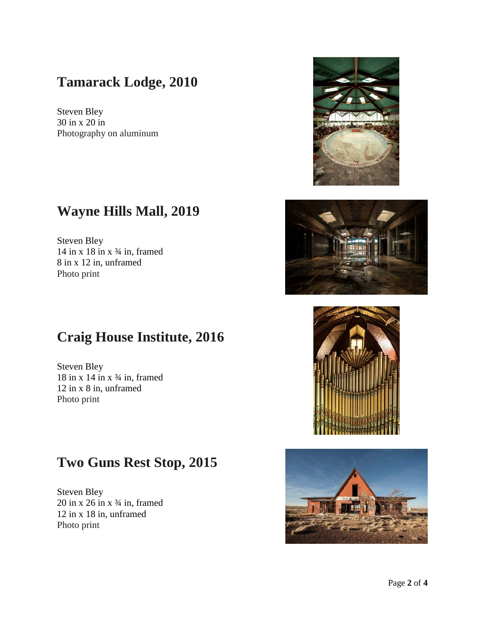## **Tamarack Lodge, 2010**

Steven Bley 30 in x 20 in Photography on aluminum

#### **Wayne Hills Mall, 2019**

Steven Bley 14 in x 18 in x  $\frac{3}{4}$  in, framed 8 in x 12 in, unframed Photo print

# **Craig House Institute, 2016**

Steven Bley  $18$  in x  $14$  in x  $\frac{3}{4}$  in, framed 12 in x 8 in, unframed Photo print

# **Two Guns Rest Stop, 2015**

Steven Bley  $20$  in x  $26$  in x  $\frac{3}{4}$  in, framed 12 in x 18 in, unframed Photo print









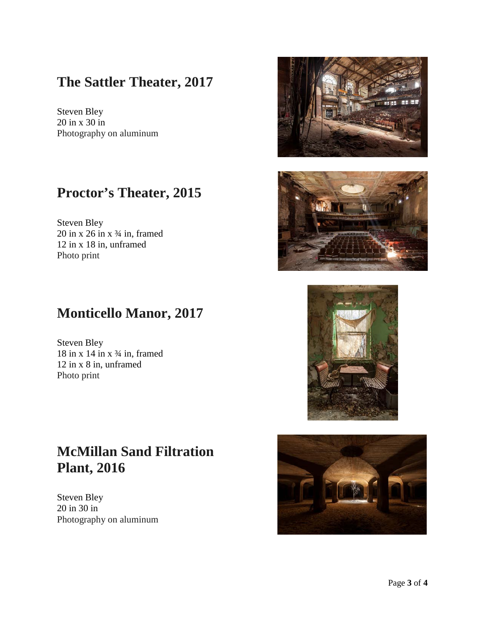#### **The Sattler Theater, 2017**

Steven Bley 20 in x 30 in Photography on aluminum

# **Proctor's Theater, 2015**

Steven Bley  $20$  in x  $26$  in x  $\frac{3}{4}$  in, framed 12 in x 18 in, unframed Photo print

#### **Monticello Manor, 2017**

Steven Bley  $18$  in x  $14$  in x  $\frac{3}{4}$  in, framed 12 in x 8 in, unframed Photo print

# **McMillan Sand Filtration Plant, 2016**

Steven Bley 20 in 30 in Photography on aluminum